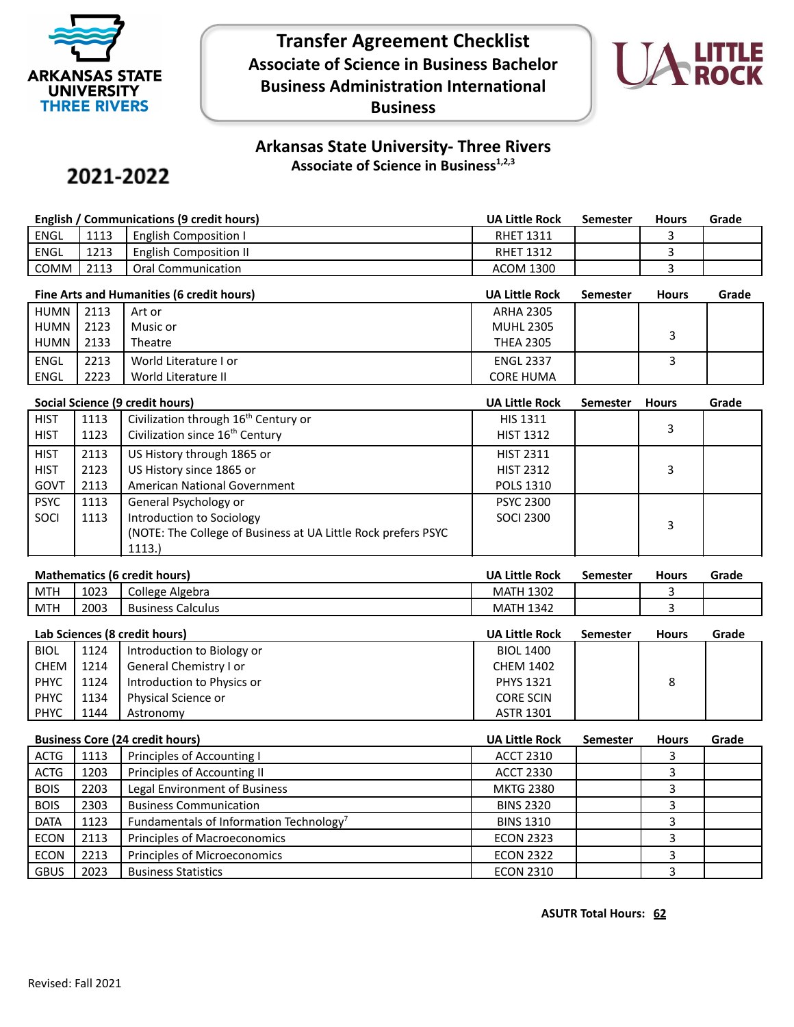

## **Transfer Agreement Checklist Associate of Science in Business Bachelor Business Administration International Business**



## **Arkansas State University- Three Rivers Associate of Science in Business1,2,3**

# 2021-2022

| English / Communications (9 credit hours) |      |                              | UA Little Rock   | Semester | <b>Hours</b> | Grade |
|-------------------------------------------|------|------------------------------|------------------|----------|--------------|-------|
| ENGL                                      | 1113 | <b>English Composition I</b> | <b>RHET 1311</b> |          |              |       |
| ENGL                                      | 1213 | English Composition II       | <b>RHET 1312</b> |          |              |       |
| COMM                                      | 2113 | Oral Communication           | <b>ACOM 1300</b> |          |              |       |

| Fine Arts and Humanities (6 credit hours) |      |                       | <b>UA Little Rock</b> | <b>Semester</b> | <b>Hours</b> | Grade |
|-------------------------------------------|------|-----------------------|-----------------------|-----------------|--------------|-------|
| HUMN I                                    | 2113 | Art or                | <b>ARHA 2305</b>      |                 |              |       |
| HUMN                                      | 2123 | Music or              | <b>MUHL 2305</b>      |                 |              |       |
| HUMN I                                    | 2133 | Theatre               | <b>THEA 2305</b>      |                 |              |       |
| <b>ENGL</b>                               | 2213 | World Literature I or | <b>ENGL 2337</b>      |                 |              |       |
| ENGL                                      | 2223 | World Literature II   | <b>CORE HUMA</b>      |                 |              |       |

|             | Social Science (9 credit hours) |                                                                |                  | <b>Semester</b> | <b>Hours</b> | Grade |
|-------------|---------------------------------|----------------------------------------------------------------|------------------|-----------------|--------------|-------|
| <b>HIST</b> | 1113                            | Civilization through 16 <sup>th</sup> Century or               | <b>HIS 1311</b>  |                 |              |       |
| <b>HIST</b> | 1123                            | Civilization since 16 <sup>th</sup> Century                    | <b>HIST 1312</b> |                 | 3            |       |
| <b>HIST</b> | 2113                            | US History through 1865 or                                     | <b>HIST 2311</b> |                 |              |       |
| <b>HIST</b> | 2123                            | US History since 1865 or                                       | <b>HIST 2312</b> |                 | 3            |       |
| GOVT        | 2113                            | American National Government                                   | <b>POLS 1310</b> |                 |              |       |
| <b>PSYC</b> | 1113                            | General Psychology or                                          | <b>PSYC 2300</b> |                 |              |       |
| SOCI        | 1113                            | Introduction to Sociology                                      | <b>SOCI 2300</b> |                 | 3            |       |
|             |                                 | (NOTE: The College of Business at UA Little Rock prefers PSYC) |                  |                 |              |       |
|             |                                 | 1113.                                                          |                  |                 |              |       |

### **Mathematics (6 credit hours) UA Little Rock Semester Hours Grade**

| __<br>____ | _____          | ____                             | ----<br>___                                    | __<br>----- | __ | _____ |
|------------|----------------|----------------------------------|------------------------------------------------|-------------|----|-------|
| <b>MTH</b> | $\sim$<br>1023 | College<br>Algebra               | 1202<br>MAIH<br>13UZ                           |             |    |       |
| <b>MTH</b> | 2003           | -<br>Calculus<br><b>Business</b> | $\sim$ $\sim$<br>MA <sup>-</sup><br>1342<br>ΙH |             |    |       |
|            |                |                                  |                                                |             |    |       |

|             | Lab Sciences (8 credit hours)<br><b>UA Little Rock</b><br><b>Semester</b> |                            |                  | <b>Hours</b> | Grade |  |
|-------------|---------------------------------------------------------------------------|----------------------------|------------------|--------------|-------|--|
| <b>BIOL</b> | 1124                                                                      | Introduction to Biology or | <b>BIOL 1400</b> |              |       |  |
| CHEM        | 1214                                                                      | General Chemistry I or     | <b>CHEM 1402</b> |              |       |  |
| <b>PHYC</b> | 1124                                                                      | Introduction to Physics or | <b>PHYS 1321</b> |              | 8     |  |
| <b>PHYC</b> | 1134                                                                      | Physical Science or        | <b>CORE SCIN</b> |              |       |  |
| <b>PHYC</b> | 1144                                                                      | Astronomy                  | <b>ASTR 1301</b> |              |       |  |

| <b>Business Core (24 credit hours)</b> |      | <b>UA Little Rock</b>                               | <b>Semester</b>  | <b>Hours</b> | Grade |  |
|----------------------------------------|------|-----------------------------------------------------|------------------|--------------|-------|--|
| ACTG                                   | 1113 | Principles of Accounting I                          | <b>ACCT 2310</b> |              |       |  |
| <b>ACTG</b>                            | 1203 | Principles of Accounting II                         | <b>ACCT 2330</b> |              |       |  |
| <b>BOIS</b>                            | 2203 | Legal Environment of Business                       | <b>MKTG 2380</b> |              |       |  |
| <b>BOIS</b>                            | 2303 | <b>Business Communication</b>                       | <b>BINS 2320</b> |              |       |  |
| <b>DATA</b>                            | 1123 | Fundamentals of Information Technology <sup>7</sup> | <b>BINS 1310</b> |              |       |  |
| <b>ECON</b>                            | 2113 | Principles of Macroeconomics                        | <b>ECON 2323</b> |              |       |  |
| <b>ECON</b>                            | 2213 | Principles of Microeconomics                        | <b>ECON 2322</b> |              |       |  |
| <b>GBUS</b>                            | 2023 | <b>Business Statistics</b>                          | <b>ECON 2310</b> |              |       |  |